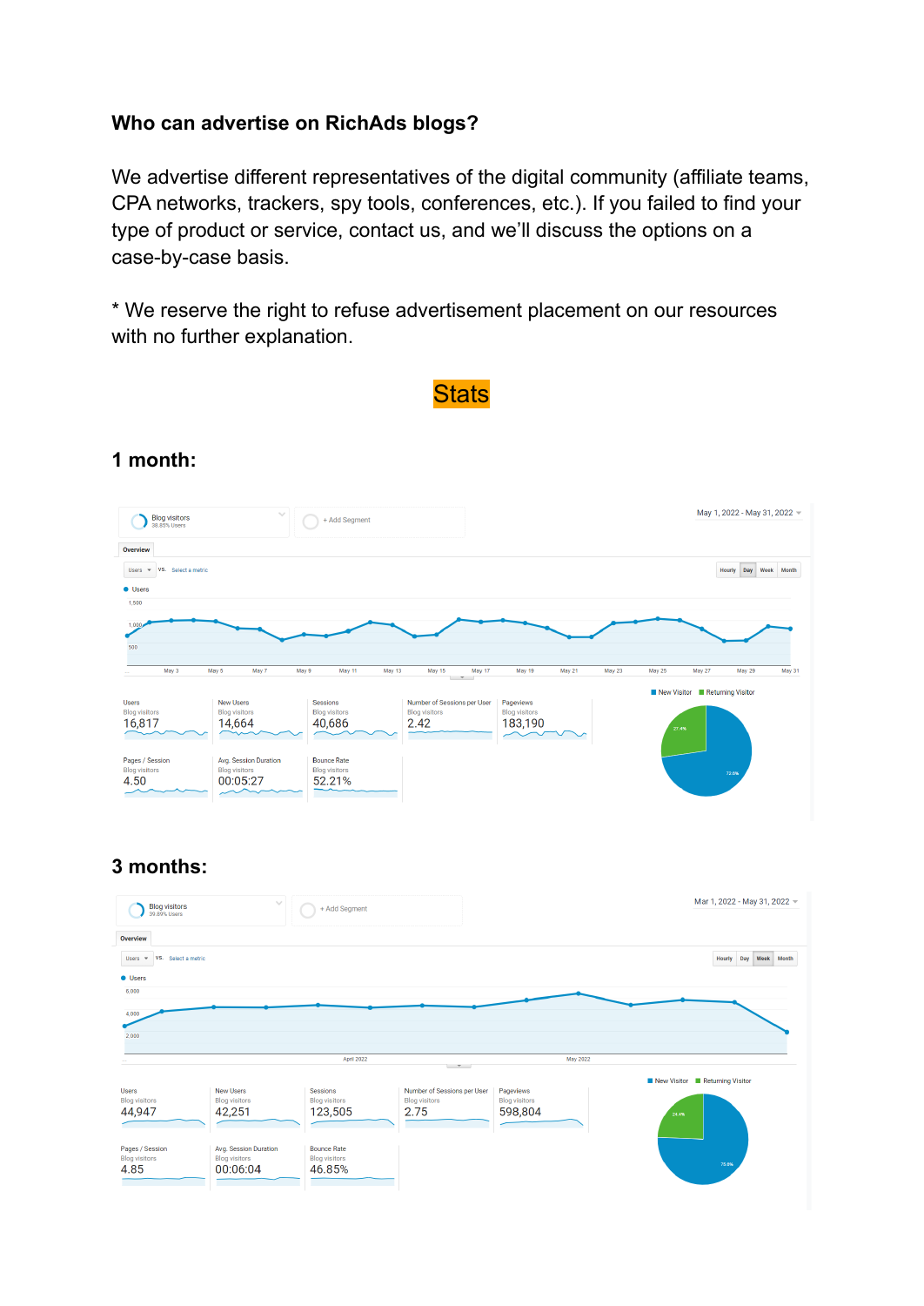### **Who can advertise on RichAds blogs?**

We advertise different representatives of the digital community (affiliate teams, CPA networks, trackers, spy tools, conferences, etc.). If you failed to find your type of product or service, contact us, and we'll discuss the options on a case-by-case basis.

\* We reserve the right to refuse advertisement placement on our resources with no further explanation.

**Stats** 



### **1 month:**

### **3 months:**

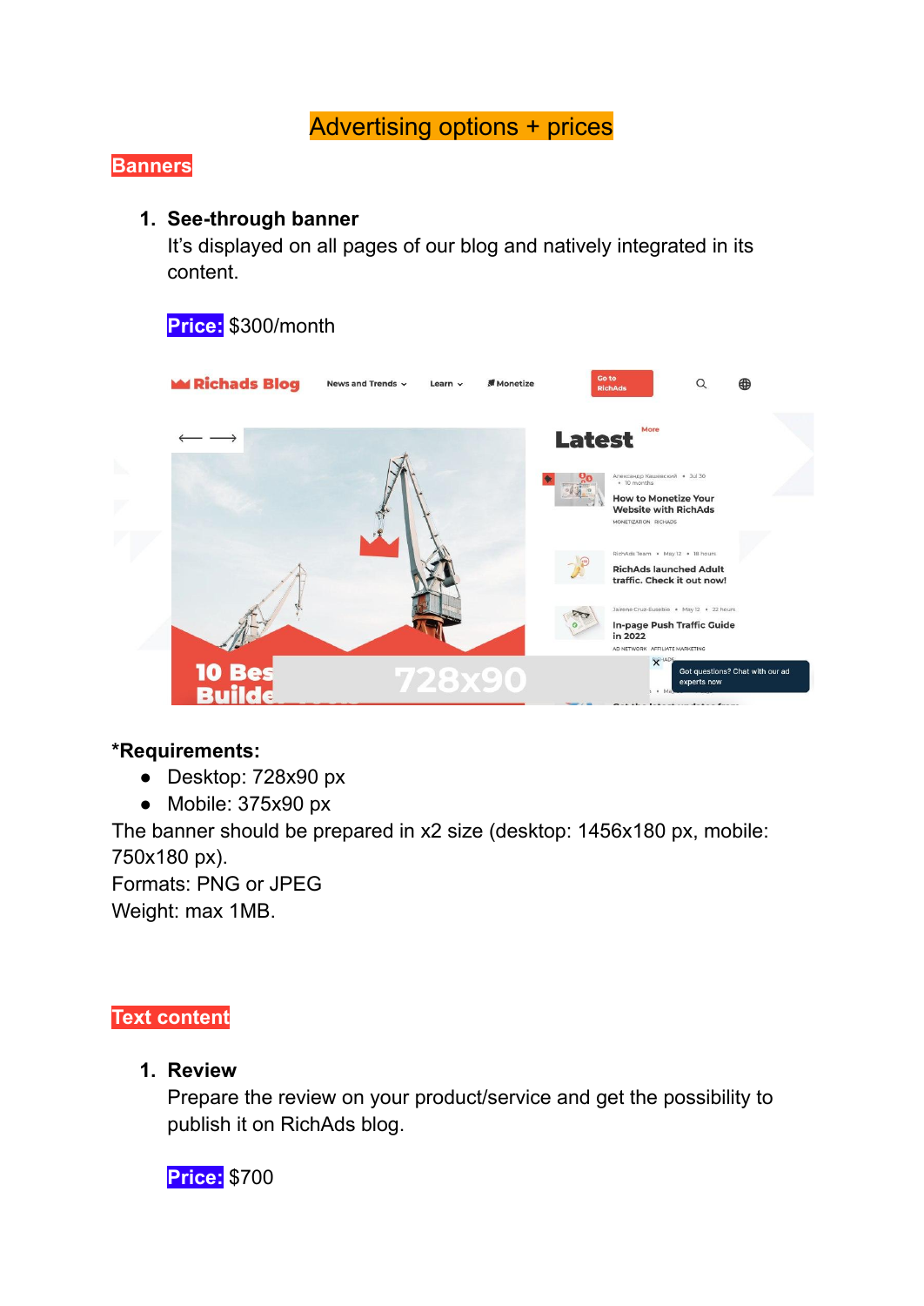# Advertising options + prices

## **Banners**

### **1. See-through banner**

It's displayed on all pages of our blog and natively integrated in its content.

## **Price:** \$300/month



#### **\*Requirements:**

- Desktop: 728x90 px
- Mobile: 375x90 px

The banner should be prepared in x2 size (desktop: 1456x180 px, mobile: 750x180 px).

Formats: PNG or JPEG Weight: max 1MB.

### **Text content**

**1. Review**

Prepare the review on your product/service and get the possibility to publish it on RichAds blog.

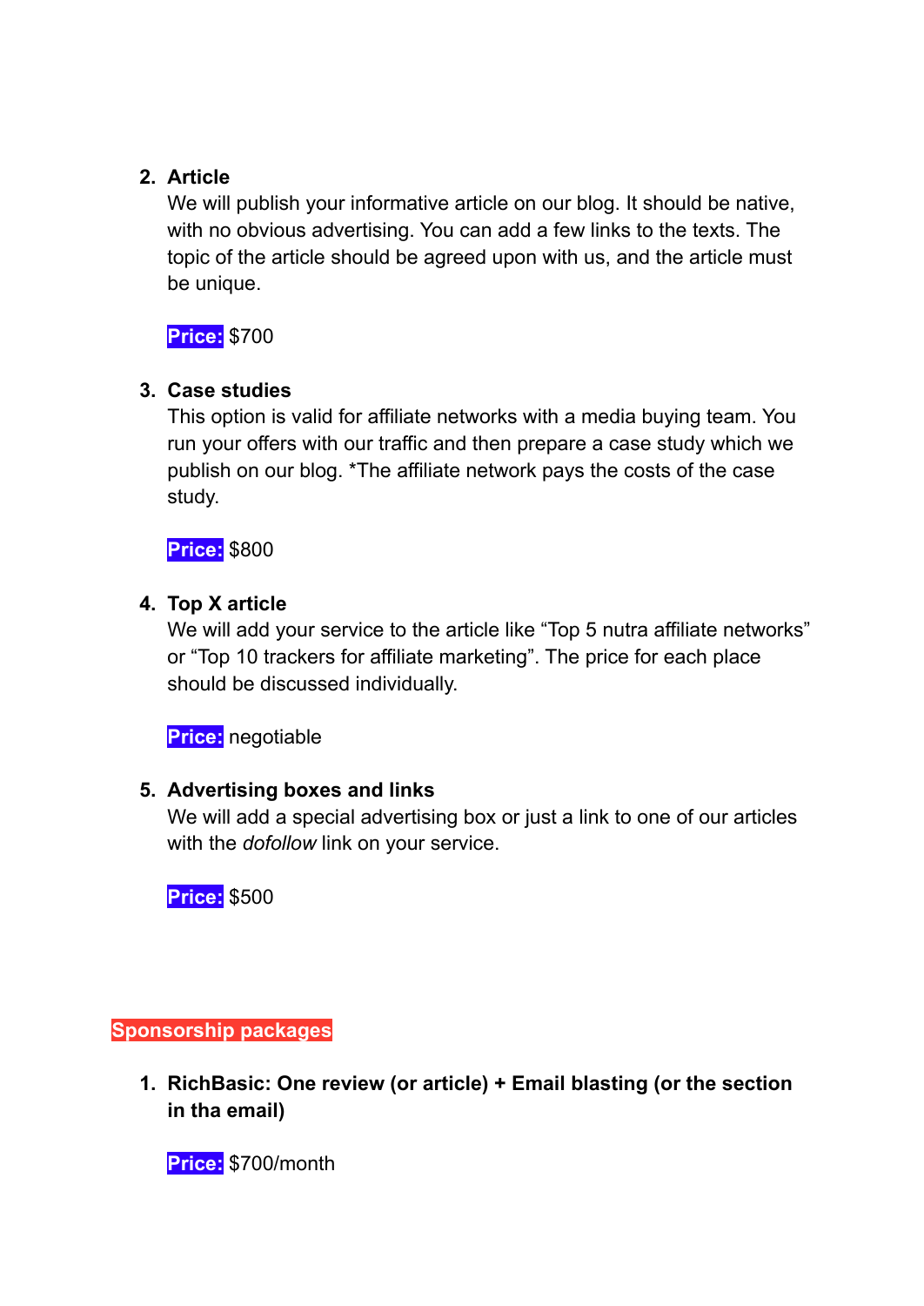## **2. Article**

We will publish your informative article on our blog. It should be native, with no obvious advertising. You can add a few links to the texts. The topic of the article should be agreed upon with us, and the article must be unique.

**Price:** \$700

## **3. Case studies**

This option is valid for affiliate networks with a media buying team. You run your offers with our traffic and then prepare a case study which we publish on our blog. \*The affiliate network pays the costs of the case study.

**Price:** \$800

## **4. Top X article**

We will add your service to the article like "Top 5 nutra affiliate networks" or "Top 10 trackers for affiliate marketing". The price for each place should be discussed individually.

**Price:** negotiable

## **5. Advertising boxes and links**

We will add a special advertising box or just a link to one of our articles with the *dofollow* link on your service.

**Price:** \$500

**Sponsorship packages**

**1. RichBasic: One review (or article) + Email blasting (or the section in tha email)**

**Price:** \$700/month